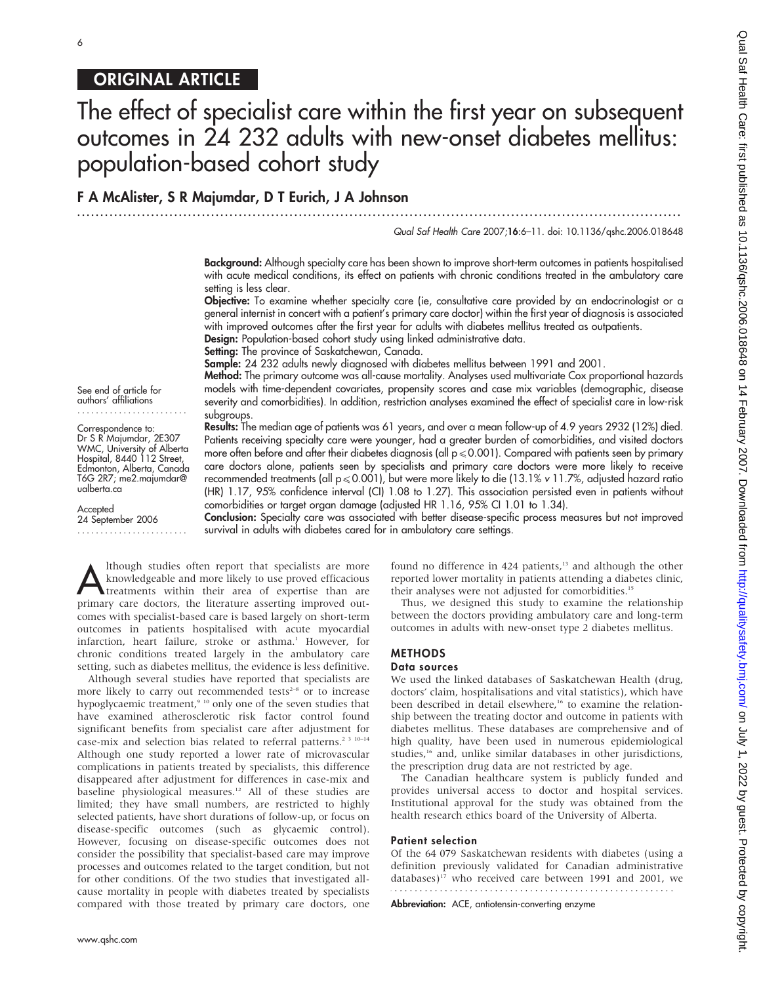# ORIGINAL ARTICLE

# The effect of specialist care within the first year on subsequent outcomes in 24 232 adults with new-onset diabetes mellitus: population-based cohort study

# F A McAlister, S R Majumdar, D T Eurich, J A Johnson

...................................................................................................................................

Qual Saf Health Care 2007;16:6–11. doi: 10.1136/qshc.2006.018648

Background: Although specialty care has been shown to improve short-term outcomes in patients hospitalised with acute medical conditions, its effect on patients with chronic conditions treated in the ambulatory care setting is less clear.

Objective: To examine whether specialty care (ie, consultative care provided by an endocrinologist or a general internist in concert with a patient's primary care doctor) within the first year of diagnosis is associated with improved outcomes after the first year for adults with diabetes mellitus treated as outpatients.

Design: Population-based cohort study using linked administrative data. Setting: The province of Saskatchewan, Canada.

Sample: 24 232 adults newly diagnosed with diabetes mellitus between 1991 and 2001.

Method: The primary outcome was all-cause mortality. Analyses used multivariate Cox proportional hazards models with time-dependent covariates, propensity scores and case mix variables (demographic, disease severity and comorbidities). In addition, restriction analyses examined the effect of specialist care in low-risk subgroups.

Results: The median age of patients was 61 years, and over a mean follow-up of 4.9 years 2932 (12%) died. Patients receiving specialty care were younger, had a greater burden of comorbidities, and visited doctors more often before and after their diabetes diagnosis (all  $p \le 0.001$ ). Compared with patients seen by primary care doctors alone, patients seen by specialists and primary care doctors were more likely to receive recommended treatments (all  $p \le 0.001$ ), but were more likely to die (13.1% v 11.7%, adjusted hazard ratio (HR) 1.17, 95% confidence interval (CI) 1.08 to 1.27). This association persisted even in patients without comorbidities or target organ damage (adjusted HR 1.16, 95% CI 1.01 to 1.34).

Conclusion: Specialty care was associated with better disease-specific process measures but not improved survival in adults with diabetes cared for in ambulatory care settings.

Although studies often report that specialists are more<br>knowledgeable and more likely to use proved efficacious<br>treatments within their area of expertise than are<br>primary are destars, the literature asserting improved out knowledgeable and more likely to use proved efficacious primary care doctors, the literature asserting improved outcomes with specialist-based care is based largely on short-term outcomes in patients hospitalised with acute myocardial infarction, heart failure, stroke or asthma.<sup>1</sup> However, for chronic conditions treated largely in the ambulatory care setting, such as diabetes mellitus, the evidence is less definitive.

Although several studies have reported that specialists are more likely to carry out recommended tests<sup> $2-8$ </sup> or to increase hypoglycaemic treatment,<sup>9 10</sup> only one of the seven studies that have examined atherosclerotic risk factor control found significant benefits from specialist care after adjustment for case-mix and selection bias related to referral patterns.<sup>2 3 10-14</sup> Although one study reported a lower rate of microvascular complications in patients treated by specialists, this difference disappeared after adjustment for differences in case-mix and baseline physiological measures.12 All of these studies are limited; they have small numbers, are restricted to highly selected patients, have short durations of follow-up, or focus on disease-specific outcomes (such as glycaemic control). However, focusing on disease-specific outcomes does not consider the possibility that specialist-based care may improve processes and outcomes related to the target condition, but not for other conditions. Of the two studies that investigated allcause mortality in people with diabetes treated by specialists compared with those treated by primary care doctors, one

found no difference in 424 patients,<sup>13</sup> and although the other reported lower mortality in patients attending a diabetes clinic, their analyses were not adjusted for comorbidities.<sup>15</sup>

Thus, we designed this study to examine the relationship between the doctors providing ambulatory care and long-term outcomes in adults with new-onset type 2 diabetes mellitus.

# METHODS

# Data sources

We used the linked databases of Saskatchewan Health (drug, doctors' claim, hospitalisations and vital statistics), which have been described in detail elsewhere,<sup>16</sup> to examine the relationship between the treating doctor and outcome in patients with diabetes mellitus. These databases are comprehensive and of high quality, have been used in numerous epidemiological studies,<sup>16</sup> and, unlike similar databases in other jurisdictions, the prescription drug data are not restricted by age.

The Canadian healthcare system is publicly funded and provides universal access to doctor and hospital services. Institutional approval for the study was obtained from the health research ethics board of the University of Alberta.

#### Patient selection

Of the 64 079 Saskatchewan residents with diabetes (using a definition previously validated for Canadian administrative databases)17 who received care between 1991 and 2001, we

Abbreviation: ACE, antiotensin-converting enzyme

See end of article for authors' affiliations ........................

Correspondence to: Dr S R Majumdar, 2E307 WMC, University of Alberta Hospital, 8440 112 Street, Edmonton, Alberta, Canada T6G 2R7; me2.majumdar@ ualberta.ca

Accepted

24 September 2006 ........................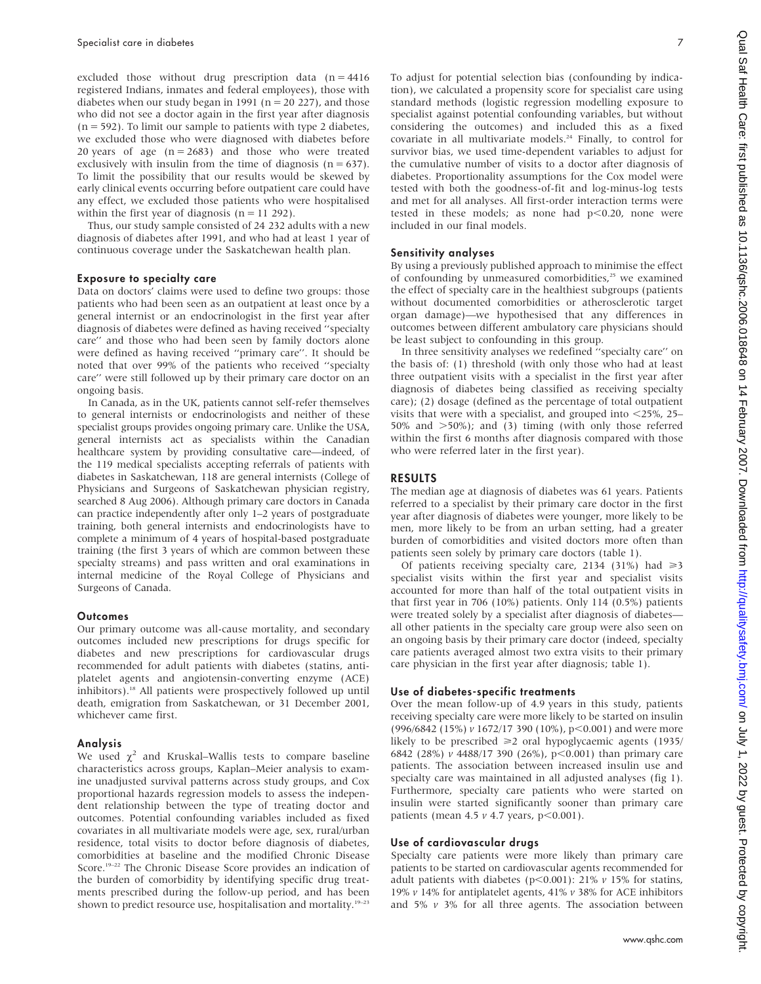excluded those without drug prescription data  $(n = 4416)$ registered Indians, inmates and federal employees), those with diabetes when our study began in 1991 ( $n = 20 227$ ), and those who did not see a doctor again in the first year after diagnosis  $(n = 592)$ . To limit our sample to patients with type 2 diabetes, we excluded those who were diagnosed with diabetes before 20 years of age  $(n = 2683)$  and those who were treated exclusively with insulin from the time of diagnosis  $(n = 637)$ . To limit the possibility that our results would be skewed by early clinical events occurring before outpatient care could have any effect, we excluded those patients who were hospitalised within the first year of diagnosis  $(n = 11 292)$ .

Thus, our study sample consisted of 24 232 adults with a new diagnosis of diabetes after 1991, and who had at least 1 year of continuous coverage under the Saskatchewan health plan.

### Exposure to specialty care

Data on doctors' claims were used to define two groups: those patients who had been seen as an outpatient at least once by a general internist or an endocrinologist in the first year after diagnosis of diabetes were defined as having received ''specialty care'' and those who had been seen by family doctors alone were defined as having received ''primary care''. It should be noted that over 99% of the patients who received ''specialty care'' were still followed up by their primary care doctor on an ongoing basis.

In Canada, as in the UK, patients cannot self-refer themselves to general internists or endocrinologists and neither of these specialist groups provides ongoing primary care. Unlike the USA, general internists act as specialists within the Canadian healthcare system by providing consultative care—indeed, of the 119 medical specialists accepting referrals of patients with diabetes in Saskatchewan, 118 are general internists (College of Physicians and Surgeons of Saskatchewan physician registry, searched 8 Aug 2006). Although primary care doctors in Canada can practice independently after only 1–2 years of postgraduate training, both general internists and endocrinologists have to complete a minimum of 4 years of hospital-based postgraduate training (the first 3 years of which are common between these specialty streams) and pass written and oral examinations in internal medicine of the Royal College of Physicians and Surgeons of Canada.

#### **Outcomes**

Our primary outcome was all-cause mortality, and secondary outcomes included new prescriptions for drugs specific for diabetes and new prescriptions for cardiovascular drugs recommended for adult patients with diabetes (statins, antiplatelet agents and angiotensin-converting enzyme (ACE) inhibitors).<sup>18</sup> All patients were prospectively followed up until death, emigration from Saskatchewan, or 31 December 2001, whichever came first.

#### Analysis

We used  $\chi^2$  and Kruskal–Wallis tests to compare baseline characteristics across groups, Kaplan–Meier analysis to examine unadjusted survival patterns across study groups, and Cox proportional hazards regression models to assess the independent relationship between the type of treating doctor and outcomes. Potential confounding variables included as fixed covariates in all multivariate models were age, sex, rural/urban residence, total visits to doctor before diagnosis of diabetes, comorbidities at baseline and the modified Chronic Disease Score.<sup>19–22</sup> The Chronic Disease Score provides an indication of the burden of comorbidity by identifying specific drug treatments prescribed during the follow-up period, and has been shown to predict resource use, hospitalisation and mortality.<sup>19-23</sup>

To adjust for potential selection bias (confounding by indication), we calculated a propensity score for specialist care using standard methods (logistic regression modelling exposure to specialist against potential confounding variables, but without considering the outcomes) and included this as a fixed covariate in all multivariate models.<sup>24</sup> Finally, to control for survivor bias, we used time-dependent variables to adjust for the cumulative number of visits to a doctor after diagnosis of diabetes. Proportionality assumptions for the Cox model were tested with both the goodness-of-fit and log-minus-log tests and met for all analyses. All first-order interaction terms were tested in these models; as none had  $p<0.20$ , none were included in our final models.

## Sensitivity analyses

By using a previously published approach to minimise the effect of confounding by unmeasured comorbidities,<sup>25</sup> we examined the effect of specialty care in the healthiest subgroups (patients without documented comorbidities or atherosclerotic target organ damage)—we hypothesised that any differences in outcomes between different ambulatory care physicians should be least subject to confounding in this group.

In three sensitivity analyses we redefined ''specialty care'' on the basis of: (1) threshold (with only those who had at least three outpatient visits with a specialist in the first year after diagnosis of diabetes being classified as receiving specialty care); (2) dosage (defined as the percentage of total outpatient visits that were with a specialist, and grouped into  $\langle 25\%, 25-\rangle$ 50% and  $>50\%$ ; and (3) timing (with only those referred within the first 6 months after diagnosis compared with those who were referred later in the first year).

## RESULTS

The median age at diagnosis of diabetes was 61 years. Patients referred to a specialist by their primary care doctor in the first year after diagnosis of diabetes were younger, more likely to be men, more likely to be from an urban setting, had a greater burden of comorbidities and visited doctors more often than patients seen solely by primary care doctors (table 1).

Of patients receiving specialty care, 2134 (31%) had  $\geq 3$ specialist visits within the first year and specialist visits accounted for more than half of the total outpatient visits in that first year in 706 (10%) patients. Only 114 (0.5%) patients were treated solely by a specialist after diagnosis of diabetes all other patients in the specialty care group were also seen on an ongoing basis by their primary care doctor (indeed, specialty care patients averaged almost two extra visits to their primary care physician in the first year after diagnosis; table 1).

#### Use of diabetes-specific treatments

Over the mean follow-up of 4.9 years in this study, patients receiving specialty care were more likely to be started on insulin (996/6842 (15%)  $v$  1672/17 390 (10%), p<0.001) and were more likely to be prescribed  $\geq 2$  oral hypoglycaemic agents (1935/ 6842 (28%) v 4488/17 390 (26%),  $p<0.001$ ) than primary care patients. The association between increased insulin use and specialty care was maintained in all adjusted analyses (fig 1). Furthermore, specialty care patients who were started on insulin were started significantly sooner than primary care patients (mean 4.5  $\nu$  4.7 years, p<0.001).

#### Use of cardiovascular drugs

Specialty care patients were more likely than primary care patients to be started on cardiovascular agents recommended for adult patients with diabetes (p<0.001): 21%  $\nu$  15% for statins, 19% v 14% for antiplatelet agents, 41% v 38% for ACE inhibitors and 5%  $v$  3% for all three agents. The association between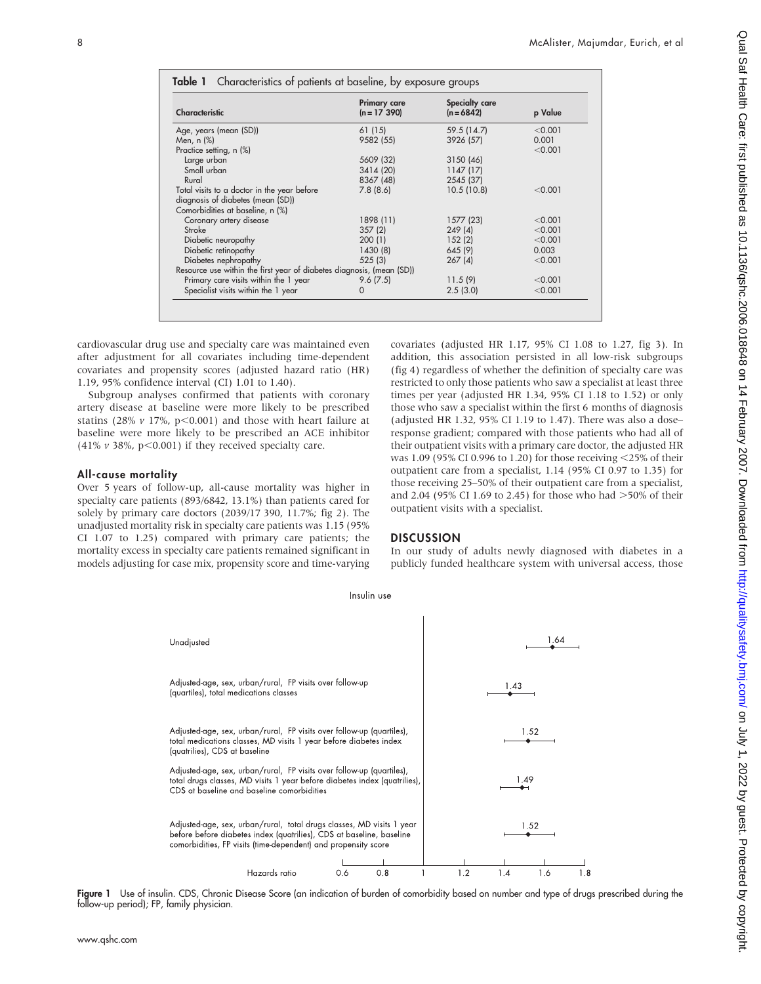| Characteristic                                                        | <b>Primary care</b><br>$(n = 17 390)$ | Specialty care<br>$(n = 6842)$ | p Value |
|-----------------------------------------------------------------------|---------------------------------------|--------------------------------|---------|
|                                                                       |                                       |                                |         |
| Age, years (mean (SD))                                                | 61 (15)                               | 59.5 (14.7)                    | < 0.001 |
| Men, $n$ $(\%)$                                                       | 9582 (55)                             | 3926 (57)                      | 0.001   |
| Practice setting, n (%)                                               |                                       |                                | < 0.001 |
| Large urban                                                           | 5609 (32)                             | 3150 (46)                      |         |
| Small urban                                                           | 3414 (20)                             | 1147(17)                       |         |
| Rural                                                                 | 8367 (48)                             | 2545 (37)                      |         |
| Total visits to a doctor in the year before                           | 7.8(8.6)                              | 10.5(10.8)                     | < 0.001 |
| diagnosis of diabetes (mean (SD))                                     |                                       |                                |         |
| Comorbidities at baseline, n (%)                                      |                                       |                                |         |
| Coronary artery disease                                               | 1898 (11)                             | 1577(23)                       | < 0.001 |
| Stroke                                                                | 357(2)                                | 249(4)                         | < 0.001 |
| Diabetic neuropathy                                                   | 200(1)                                | 152(2)                         | < 0.001 |
| Diabetic retinopathy                                                  | 1430 (8)                              | 645 (9)                        | 0.003   |
| Diabetes nephropathy                                                  | 525(3)                                | 267(4)                         | < 0.001 |
| Resource use within the first year of diabetes diagnosis, (mean (SD)) |                                       |                                |         |
| Primary care visits within the 1 year                                 | 9.6(7.5)                              | 11.5(9)                        | < 0.001 |
| Specialist visits within the 1 year                                   | 0                                     | 2.5(3.0)                       | < 0.001 |

cardiovascular drug use and specialty care was maintained even after adjustment for all covariates including time-dependent covariates and propensity scores (adjusted hazard ratio (HR) 1.19, 95% confidence interval (CI) 1.01 to 1.40).

Subgroup analyses confirmed that patients with coronary artery disease at baseline were more likely to be prescribed statins (28%  $v$  17%, p<0.001) and those with heart failure at baseline were more likely to be prescribed an ACE inhibitor (41%  $\nu$  38%, p<0.001) if they received specialty care.

#### All-cause mortality

Over 5 years of follow-up, all-cause mortality was higher in specialty care patients (893/6842, 13.1%) than patients cared for solely by primary care doctors (2039/17 390, 11.7%; fig 2). The unadjusted mortality risk in specialty care patients was 1.15 (95% CI 1.07 to 1.25) compared with primary care patients; the mortality excess in specialty care patients remained significant in models adjusting for case mix, propensity score and time-varying covariates (adjusted HR 1.17, 95% CI 1.08 to 1.27, fig 3). In addition, this association persisted in all low-risk subgroups (fig 4) regardless of whether the definition of specialty care was restricted to only those patients who saw a specialist at least three times per year (adjusted HR 1.34, 95% CI 1.18 to 1.52) or only those who saw a specialist within the first 6 months of diagnosis (adjusted HR 1.32, 95% CI 1.19 to 1.47). There was also a dose– response gradient; compared with those patients who had all of their outpatient visits with a primary care doctor, the adjusted HR was 1.09 (95% CI 0.996 to 1.20) for those receiving  $\leq$ 25% of their outpatient care from a specialist, 1.14 (95% CI 0.97 to 1.35) for those receiving 25–50% of their outpatient care from a specialist, and 2.04 (95% CI 1.69 to 2.45) for those who had  $>50\%$  of their outpatient visits with a specialist.

## **DISCUSSION**

In our study of adults newly diagnosed with diabetes in a publicly funded healthcare system with universal access, those



Figure 1 Use of insulin. CDS, Chronic Disease Score (an indication of burden of comorbidity based on number and type of drugs prescribed during the follow-up period); FP, family physician.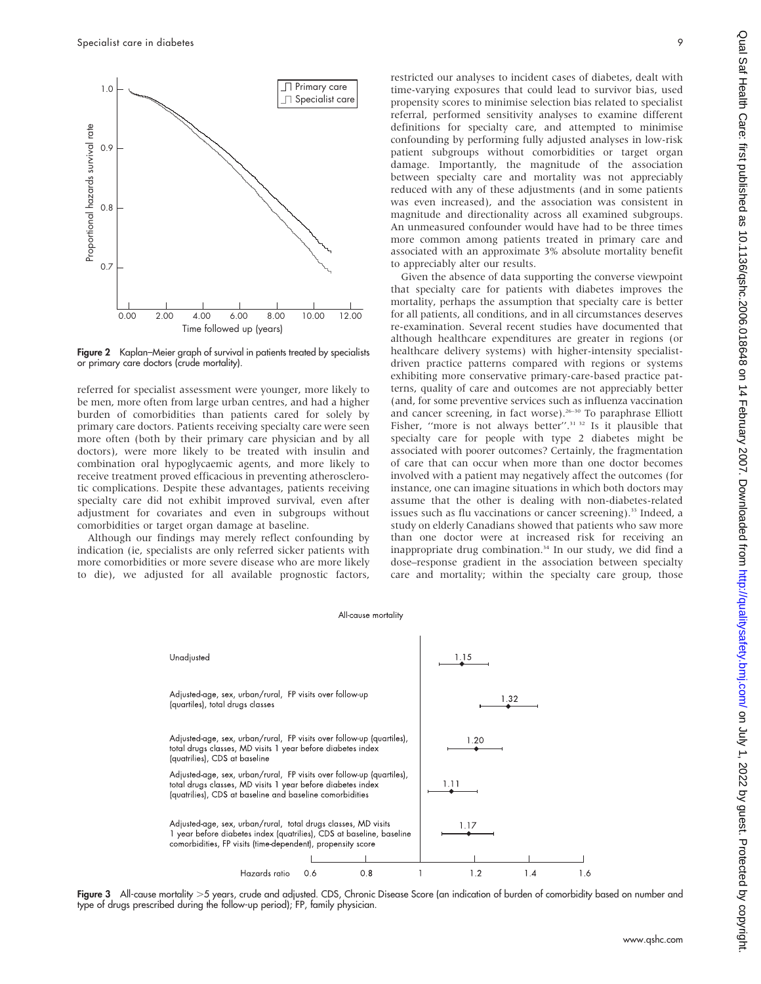

Figure 2 Kaplan–Meier graph of survival in patients treated by specialists or primary care doctors (crude mortality).

referred for specialist assessment were younger, more likely to be men, more often from large urban centres, and had a higher burden of comorbidities than patients cared for solely by primary care doctors. Patients receiving specialty care were seen more often (both by their primary care physician and by all doctors), were more likely to be treated with insulin and combination oral hypoglycaemic agents, and more likely to receive treatment proved efficacious in preventing atherosclerotic complications. Despite these advantages, patients receiving specialty care did not exhibit improved survival, even after adjustment for covariates and even in subgroups without comorbidities or target organ damage at baseline.

Although our findings may merely reflect confounding by indication (ie, specialists are only referred sicker patients with more comorbidities or more severe disease who are more likely to die), we adjusted for all available prognostic factors, restricted our analyses to incident cases of diabetes, dealt with time-varying exposures that could lead to survivor bias, used propensity scores to minimise selection bias related to specialist referral, performed sensitivity analyses to examine different definitions for specialty care, and attempted to minimise confounding by performing fully adjusted analyses in low-risk patient subgroups without comorbidities or target organ damage. Importantly, the magnitude of the association between specialty care and mortality was not appreciably reduced with any of these adjustments (and in some patients was even increased), and the association was consistent in magnitude and directionality across all examined subgroups. An unmeasured confounder would have had to be three times more common among patients treated in primary care and associated with an approximate 3% absolute mortality benefit to appreciably alter our results.

Given the absence of data supporting the converse viewpoint that specialty care for patients with diabetes improves the mortality, perhaps the assumption that specialty care is better for all patients, all conditions, and in all circumstances deserves re-examination. Several recent studies have documented that although healthcare expenditures are greater in regions (or healthcare delivery systems) with higher-intensity specialistdriven practice patterns compared with regions or systems exhibiting more conservative primary-care-based practice patterns, quality of care and outcomes are not appreciably better (and, for some preventive services such as influenza vaccination and cancer screening, in fact worse). $26-30$  To paraphrase Elliott Fisher, "more is not always better".<sup>31 32</sup> Is it plausible that specialty care for people with type 2 diabetes might be associated with poorer outcomes? Certainly, the fragmentation of care that can occur when more than one doctor becomes involved with a patient may negatively affect the outcomes (for instance, one can imagine situations in which both doctors may assume that the other is dealing with non-diabetes-related issues such as flu vaccinations or cancer screening).<sup>33</sup> Indeed, a study on elderly Canadians showed that patients who saw more than one doctor were at increased risk for receiving an inappropriate drug combination.<sup>34</sup> In our study, we did find a dose–response gradient in the association between specialty care and mortality; within the specialty care group, those



Figure 3 All-cause mortality >5 years, crude and adjusted. CDS, Chronic Disease Score (an indication of burden of comorbidity based on number and type of drugs prescribed during the follow-up period); FP, family physician.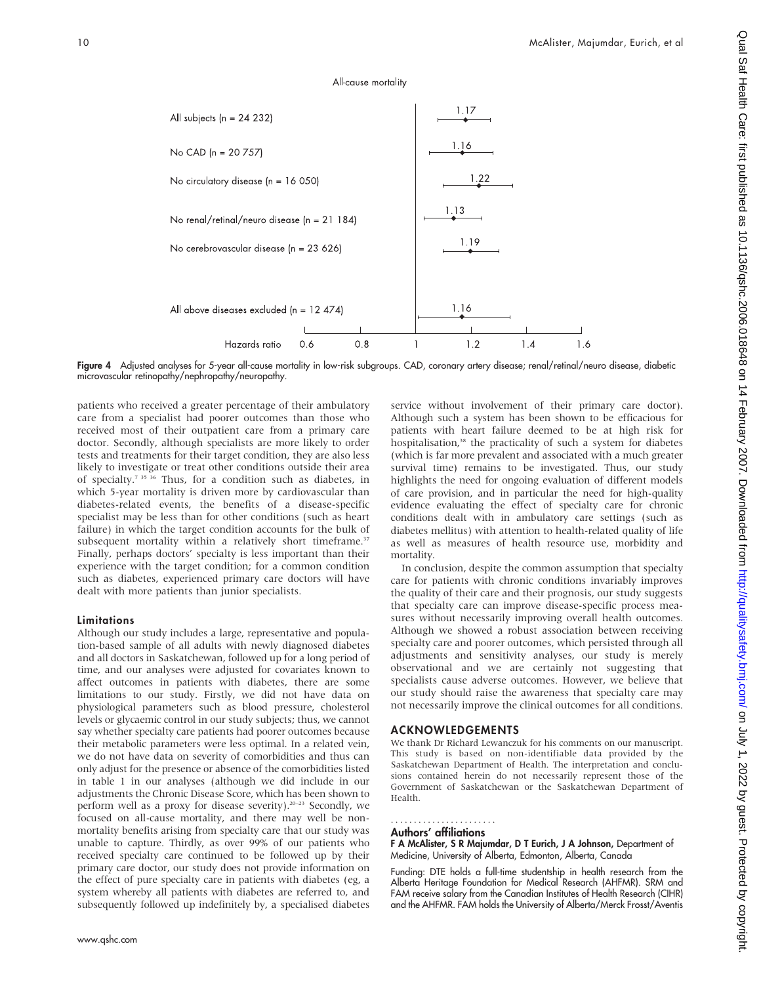# All-cause mortality



Figure 4 Adjusted analyses for 5-year all-cause mortality in low-risk subgroups. CAD, coronary artery disease; renal/retinal/neuro disease, diabetic microvascular retinopathy/nephropathy/neuropathy.

patients who received a greater percentage of their ambulatory care from a specialist had poorer outcomes than those who received most of their outpatient care from a primary care doctor. Secondly, although specialists are more likely to order tests and treatments for their target condition, they are also less likely to investigate or treat other conditions outside their area of specialty.<sup>7 35 36</sup> Thus, for a condition such as diabetes, in which 5-year mortality is driven more by cardiovascular than diabetes-related events, the benefits of a disease-specific specialist may be less than for other conditions (such as heart failure) in which the target condition accounts for the bulk of subsequent mortality within a relatively short timeframe.<sup>37</sup> Finally, perhaps doctors' specialty is less important than their experience with the target condition; for a common condition such as diabetes, experienced primary care doctors will have dealt with more patients than junior specialists.

### Limitations

Although our study includes a large, representative and population-based sample of all adults with newly diagnosed diabetes and all doctors in Saskatchewan, followed up for a long period of time, and our analyses were adjusted for covariates known to affect outcomes in patients with diabetes, there are some limitations to our study. Firstly, we did not have data on physiological parameters such as blood pressure, cholesterol levels or glycaemic control in our study subjects; thus, we cannot say whether specialty care patients had poorer outcomes because their metabolic parameters were less optimal. In a related vein, we do not have data on severity of comorbidities and thus can only adjust for the presence or absence of the comorbidities listed in table 1 in our analyses (although we did include in our adjustments the Chronic Disease Score, which has been shown to perform well as a proxy for disease severity).<sup>20-23</sup> Secondly, we focused on all-cause mortality, and there may well be nonmortality benefits arising from specialty care that our study was unable to capture. Thirdly, as over 99% of our patients who received specialty care continued to be followed up by their primary care doctor, our study does not provide information on the effect of pure specialty care in patients with diabetes (eg, a system whereby all patients with diabetes are referred to, and subsequently followed up indefinitely by, a specialised diabetes

service without involvement of their primary care doctor). Although such a system has been shown to be efficacious for patients with heart failure deemed to be at high risk for hospitalisation,<sup>38</sup> the practicality of such a system for diabetes (which is far more prevalent and associated with a much greater survival time) remains to be investigated. Thus, our study highlights the need for ongoing evaluation of different models of care provision, and in particular the need for high-quality evidence evaluating the effect of specialty care for chronic conditions dealt with in ambulatory care settings (such as diabetes mellitus) with attention to health-related quality of life as well as measures of health resource use, morbidity and mortality.

In conclusion, despite the common assumption that specialty care for patients with chronic conditions invariably improves the quality of their care and their prognosis, our study suggests that specialty care can improve disease-specific process measures without necessarily improving overall health outcomes. Although we showed a robust association between receiving specialty care and poorer outcomes, which persisted through all adjustments and sensitivity analyses, our study is merely observational and we are certainly not suggesting that specialists cause adverse outcomes. However, we believe that our study should raise the awareness that specialty care may not necessarily improve the clinical outcomes for all conditions.

# ACKNOWLEDGEMENTS

We thank Dr Richard Lewanczuk for his comments on our manuscript. This study is based on non-identifiable data provided by the Saskatchewan Department of Health. The interpretation and conclusions contained herein do not necessarily represent those of the Government of Saskatchewan or the Saskatchewan Department of Health.

#### Authors' affiliations .......................

F A McAlister, S R Majumdar, D T Eurich, J A Johnson, Department of Medicine, University of Alberta, Edmonton, Alberta, Canada

Funding: DTE holds a full-time studentship in health research from the Alberta Heritage Foundation for Medical Research (AHFMR). SRM and FAM receive salary from the Canadian Institutes of Health Research (CIHR) and the AHFMR. FAM holds the University of Alberta/Merck Frosst/Aventis